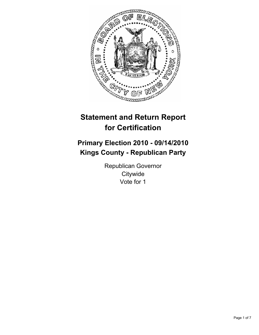

# **Statement and Return Report for Certification**

# **Primary Election 2010 - 09/14/2010 Kings County - Republican Party**

Republican Governor **Citywide** Vote for 1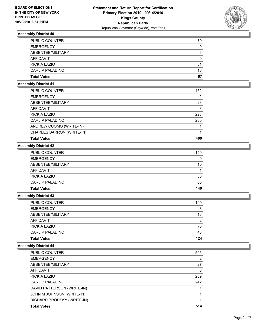

| <b>Total Votes</b>     | 67 |
|------------------------|----|
| <b>CARL P PALADINO</b> | 16 |
| <b>RICK A LAZIO</b>    | 51 |
| AFFIDAVIT              | 0  |
| ABSENTEE/MILITARY      | 6  |
| <b>EMERGENCY</b>       | 0  |
| <b>PUBLIC COUNTER</b>  | 79 |

## **Assembly District 41**

| PUBLIC COUNTER            | 452 |
|---------------------------|-----|
| <b>EMERGENCY</b>          | 2   |
| ABSENTEE/MILITARY         | 23  |
| AFFIDAVIT                 | 3   |
| <b>RICK A LAZIO</b>       | 228 |
| CARL P PALADINO           | 230 |
| ANDREW CUOMO (WRITE-IN)   |     |
| CHARLES BARRON (WRITE-IN) |     |
| <b>Total Votes</b>        | 460 |

# **Assembly District 42**

| <b>Total Votes</b>     | 140 |
|------------------------|-----|
| <b>CARL P PALADINO</b> | 60  |
| RICK A LAZIO           | 80  |
| AFFIDAVIT              |     |
| ABSENTEE/MILITARY      | 10  |
| <b>EMERGENCY</b>       | 0   |
| <b>PUBLIC COUNTER</b>  | 140 |

# **Assembly District 43**

| <b>Total Votes</b>     | 124 |
|------------------------|-----|
| <b>CARL P PALADINO</b> | 48  |
| <b>RICK A LAZIO</b>    | 76  |
| AFFIDAVIT              | 2   |
| ABSENTEE/MILITARY      | 13  |
| <b>EMERGENCY</b>       | 3   |
| <b>PUBLIC COUNTER</b>  | 109 |

| PUBLIC COUNTER             | 505 |
|----------------------------|-----|
| <b>EMERGENCY</b>           | 2   |
| ABSENTEE/MILITARY          | 27  |
| AFFIDAVIT                  | 3   |
| <b>RICK A LAZIO</b>        | 269 |
| CARL P PALADINO            | 242 |
| DAVID PATTERSON (WRITE-IN) |     |
| JOHN M JOHNSON (WRITE-IN)  |     |
| RICHARD BRODSKY (WRITE-IN) |     |
| <b>Total Votes</b>         | 514 |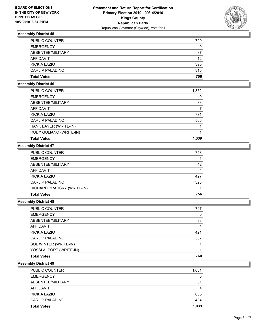

| <b>Total Votes</b>     | 706 |
|------------------------|-----|
| <b>CARL P PALADINO</b> | 316 |
| <b>RICK A LAZIO</b>    | 390 |
| AFFIDAVIT              | 12  |
| ABSENTEE/MILITARY      | 37  |
| <b>EMERGENCY</b>       | 0   |
| <b>PUBLIC COUNTER</b>  | 709 |

#### **Assembly District 46**

| PUBLIC COUNTER          | 1,352 |
|-------------------------|-------|
| <b>EMERGENCY</b>        | 0     |
| ABSENTEE/MILITARY       | 83    |
| AFFIDAVIT               |       |
| <b>RICK A LAZIO</b>     | 771   |
| CARL P PALADINO         | 566   |
| HANK BAYER (WRITE-IN)   |       |
| RUDY GULIANO (WRITE-IN) |       |
| <b>Total Votes</b>      | 1.339 |

## **Assembly District 47**

| <b>Total Votes</b>         | 756 |
|----------------------------|-----|
| RICHARD BRADSKY (WRITE-IN) |     |
| <b>CARL P PALADINO</b>     | 328 |
| <b>RICK A LAZIO</b>        | 427 |
| <b>AFFIDAVIT</b>           | 4   |
| ABSENTEE/MILITARY          | 42  |
| <b>EMERGENCY</b>           |     |
| <b>PUBLIC COUNTER</b>      | 748 |

#### **Assembly District 48**

| <b>PUBLIC COUNTER</b>   | 747 |
|-------------------------|-----|
| <b>EMERGENCY</b>        | 0   |
| ABSENTEE/MILITARY       | 33  |
| AFFIDAVIT               | 4   |
| <b>RICK A LAZIO</b>     | 421 |
| CARL P PALADINO         | 337 |
| SOL WINTER (WRITE-IN)   |     |
| YOSSI ALPORT (WRITE-IN) |     |
| <b>Total Votes</b>      | 760 |

| PUBLIC COUNTER      | 1,081 |
|---------------------|-------|
| <b>EMERGENCY</b>    | 0     |
| ABSENTEE/MILITARY   | 51    |
| AFFIDAVIT           |       |
| <b>RICK A LAZIO</b> | 605   |
| CARL P PALADINO     | 434   |
| <b>Total Votes</b>  | 1,039 |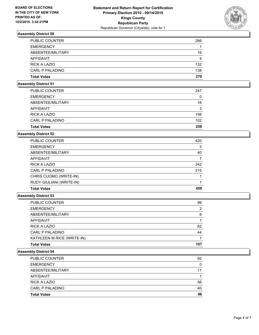

| <b>Total Votes</b>     | 270 |
|------------------------|-----|
| <b>CARL P PALADINO</b> | 138 |
| <b>RICK A LAZIO</b>    | 132 |
| AFFIDAVIT              | 4   |
| ABSENTEE/MILITARY      | 16  |
| <b>EMERGENCY</b>       |     |
| <b>PUBLIC COUNTER</b>  | 266 |

#### **Assembly District 51**

| <b>Total Votes</b>    | 258 |
|-----------------------|-----|
| CARL P PALADINO       | 102 |
| RICK A LAZIO          | 156 |
| AFFIDAVIT             | 3   |
| ABSENTEE/MILITARY     | 16  |
| <b>EMERGENCY</b>      | 0   |
| <b>PUBLIC COUNTER</b> | 247 |
|                       |     |

#### **Assembly District 52**

| <b>Total Votes</b>       | 459 |
|--------------------------|-----|
| RUDY GIULIANI (WRITE-IN) |     |
| CHRIS CUOMO (WRITE-IN)   |     |
| CARL P PALADINO          | 215 |
| <b>RICK A LAZIO</b>      | 242 |
| <b>AFFIDAVIT</b>         | 7   |
| ABSENTEE/MILITARY        | 40  |
| <b>EMERGENCY</b>         | 3   |
| PUBLIC COUNTER           | 420 |

# **Assembly District 53**

| <b>Total Votes</b>         | 107           |
|----------------------------|---------------|
| KATHLEEN M RICE (WRITE-IN) |               |
| <b>CARL P PALADINO</b>     | 44            |
| <b>RICK A LAZIO</b>        | 62            |
| AFFIDAVIT                  |               |
| ABSENTEE/MILITARY          | 6             |
| <b>EMERGENCY</b>           | $\mathcal{P}$ |
| <b>PUBLIC COUNTER</b>      | 99            |

| <b>Total Votes</b>     | 96 |
|------------------------|----|
| <b>CARL P PALADINO</b> | 40 |
| <b>RICK A LAZIO</b>    | 56 |
| AFFIDAVIT              |    |
| ABSENTEE/MILITARY      | 11 |
| <b>EMERGENCY</b>       | 0  |
| <b>PUBLIC COUNTER</b>  | 92 |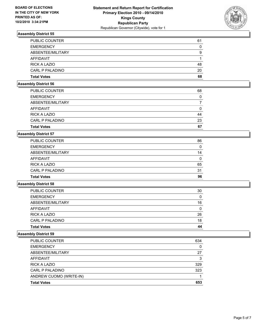

| <b>Total Votes</b>     | 68 |
|------------------------|----|
| <b>CARL P PALADINO</b> | 20 |
| <b>RICK A LAZIO</b>    | 48 |
| AFFIDAVIT              |    |
| ABSENTEE/MILITARY      | 9  |
| <b>EMERGENCY</b>       | 0  |
| <b>PUBLIC COUNTER</b>  | 61 |

#### **Assembly District 56**

| <b>Total Votes</b>     | 67 |
|------------------------|----|
| <b>CARL P PALADINO</b> | 23 |
| <b>RICK A LAZIO</b>    | 44 |
| AFFIDAVIT              | 0  |
| ABSENTEE/MILITARY      |    |
| <b>EMERGENCY</b>       | 0  |
| <b>PUBLIC COUNTER</b>  | 68 |
|                        |    |

## **Assembly District 57**

| <b>CARL P PALADINO</b> | 31 |
|------------------------|----|
| <b>RICK A LAZIO</b>    | 65 |
| AFFIDAVIT              | 0  |
| ABSENTEE/MILITARY      | 14 |
| <b>EMERGENCY</b>       | 0  |
| <b>PUBLIC COUNTER</b>  | 86 |

# **Assembly District 58**

| <b>Total Votes</b>  | 44 |
|---------------------|----|
| CARL P PALADINO     | 18 |
| <b>RICK A LAZIO</b> | 26 |
| AFFIDAVIT           | 0  |
| ABSENTEE/MILITARY   | 16 |
| <b>EMERGENCY</b>    | 0  |
| PUBLIC COUNTER      | 30 |

| <b>Total Votes</b>      | 653 |
|-------------------------|-----|
| ANDREW CUOMO (WRITE-IN) |     |
| CARL P PALADINO         | 323 |
| <b>RICK A LAZIO</b>     | 329 |
| AFFIDAVIT               | 3   |
| ABSENTEE/MILITARY       | 27  |
| <b>EMERGENCY</b>        | 0   |
| <b>PUBLIC COUNTER</b>   | 634 |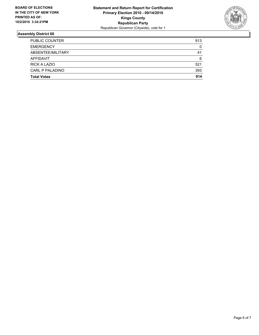

| <b>Total Votes</b>     | 914 |
|------------------------|-----|
| <b>CARL P PALADINO</b> | 393 |
| <b>RICK A LAZIO</b>    | 521 |
| AFFIDAVIT              | 6   |
| ABSENTEE/MILITARY      | 41  |
| <b>EMERGENCY</b>       | 0   |
| <b>PUBLIC COUNTER</b>  | 913 |